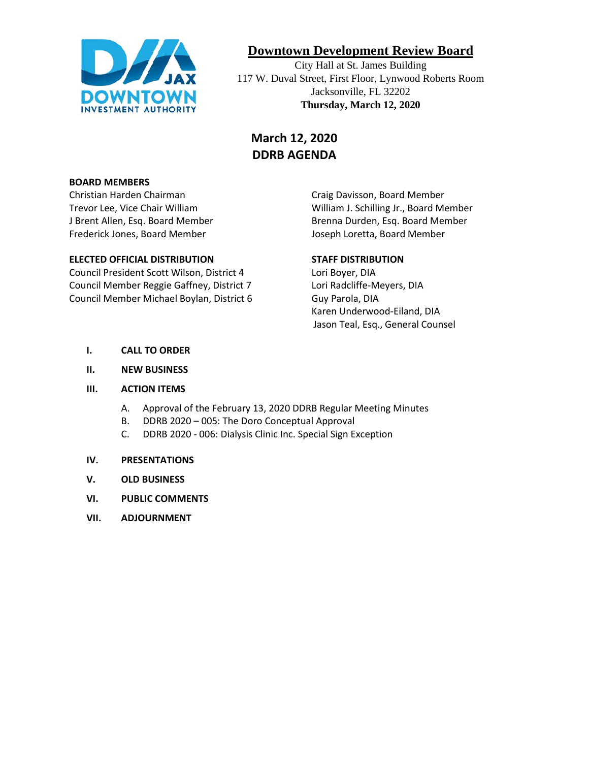

# **Downtown Development Review Board**

City Hall at St. James Building 117 W. Duval Street, First Floor, Lynwood Roberts Room Jacksonville, FL 32202 **Thursday, March 12, 2020**

# **March 12, 2020 DDRB AGENDA**

#### **BOARD MEMBERS**

Christian Harden Chairman Craig Davisson, Board Member Frederick Jones, Board Member **Joseph Loretta, Board Member** Joseph Loretta, Board Member

#### **ELECTED OFFICIAL DISTRIBUTION STAFF DISTRIBUTION**

Council President Scott Wilson, District 4 Lori Boyer, DIA Council Member Reggie Gaffney, District 7 Lori Radcliffe-Meyers, DIA Council Member Michael Boylan, District 6 Guy Parola, DIA

Trevor Lee, Vice Chair William William J. Schilling Jr., Board Member J Brent Allen, Esq. Board Member **Brenna Durden, Esq. Board Member** 

Karen Underwood-Eiland, DIA Jason Teal, Esq., General Counsel

- **I. CALL TO ORDER**
- **II. NEW BUSINESS**

#### **III. ACTION ITEMS**

- A. Approval of the February 13, 2020 DDRB Regular Meeting Minutes
- B. DDRB 2020 005: The Doro Conceptual Approval
- C. DDRB 2020 006: Dialysis Clinic Inc. Special Sign Exception

#### **IV. PRESENTATIONS**

- **V. OLD BUSINESS**
- **VI. PUBLIC COMMENTS**
- **VII. ADJOURNMENT**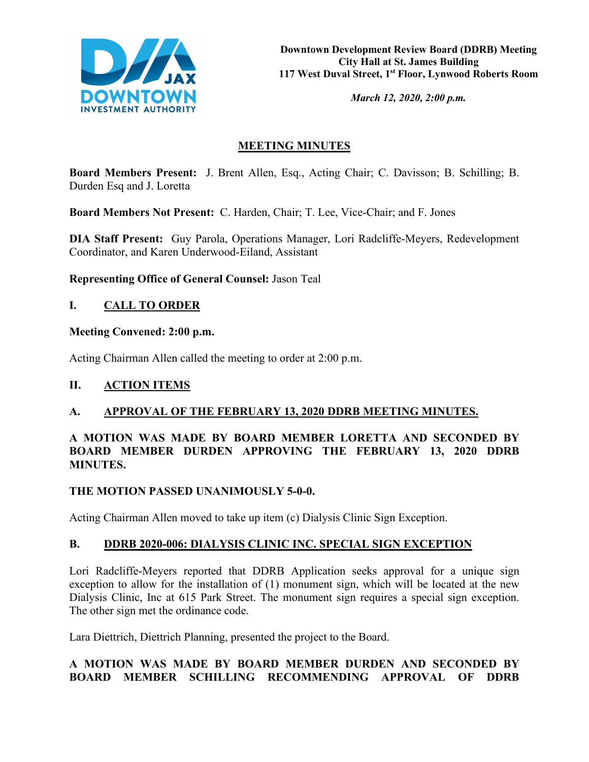

*March 12, 2020, 2:00 p.m.* 

# **MEETING MINUTES**

**Board Members Present:** J. Brent Allen, Esq., Acting Chair; C. Davisson; B. Schilling; B. Durden Esq and J. Loretta

**Board Members Not Present:** C. Harden, Chair; T. Lee, Vice-Chair; and F. Jones

**DIA Staff Present:** Guy Parola, Operations Manager, Lori Radcliffe-Meyers, Redevelopment Coordinator, and Karen Underwood-Eiland, Assistant

**Representing Office of General Counsel:** Jason Teal

# **I. CALL TO ORDER**

#### **Meeting Convened: 2:00 p.m.**

Acting Chairman Allen called the meeting to order at 2:00 p.m.

## **II. ACTION ITEMS**

## **A. APPROVAL OF THE FEBRUARY 13, 2020 DDRB MEETING MINUTES.**

## **A MOTION WAS MADE BY BOARD MEMBER LORETTA AND SECONDED BY BOARD MEMBER DURDEN APPROVING THE FEBRUARY 13, 2020 DDRB MINUTES.**

#### **THE MOTION PASSED UNANIMOUSLY 5-0-0.**

Acting Chairman Allen moved to take up item (c) Dialysis Clinic Sign Exception.

## **B. DDRB 2020-006: DIALYSIS CLINIC INC. SPECIAL SIGN EXCEPTION**

Lori Radcliffe-Meyers reported that DDRB Application seeks approval for a unique sign exception to allow for the installation of (1) monument sign, which will be located at the new Dialysis Clinic, Inc at 615 Park Street. The monument sign requires a special sign exception. The other sign met the ordinance code.

Lara Diettrich, Diettrich Planning, presented the project to the Board.

# **A MOTION WAS MADE BY BOARD MEMBER DURDEN AND SECONDED BY BOARD MEMBER SCHILLING RECOMMENDING APPROVAL OF DDRB**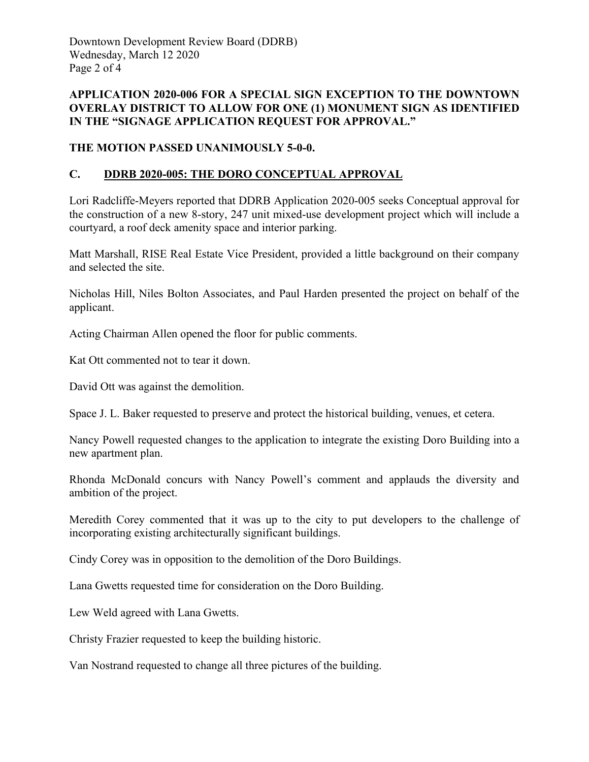Downtown Development Review Board (DDRB) Wednesday, March 12 2020 Page 2 of 4

## **APPLICATION 2020-006 FOR A SPECIAL SIGN EXCEPTION TO THE DOWNTOWN OVERLAY DISTRICT TO ALLOW FOR ONE (1) MONUMENT SIGN AS IDENTIFIED IN THE "SIGNAGE APPLICATION REQUEST FOR APPROVAL."**

## **THE MOTION PASSED UNANIMOUSLY 5-0-0.**

## **C. DDRB 2020-005: THE DORO CONCEPTUAL APPROVAL**

Lori Radcliffe-Meyers reported that DDRB Application 2020-005 seeks Conceptual approval for the construction of a new 8-story, 247 unit mixed-use development project which will include a courtyard, a roof deck amenity space and interior parking.

Matt Marshall, RISE Real Estate Vice President, provided a little background on their company and selected the site.

Nicholas Hill, Niles Bolton Associates, and Paul Harden presented the project on behalf of the applicant.

Acting Chairman Allen opened the floor for public comments.

Kat Ott commented not to tear it down.

David Ott was against the demolition.

Space J. L. Baker requested to preserve and protect the historical building, venues, et cetera.

Nancy Powell requested changes to the application to integrate the existing Doro Building into a new apartment plan.

Rhonda McDonald concurs with Nancy Powell's comment and applauds the diversity and ambition of the project.

Meredith Corey commented that it was up to the city to put developers to the challenge of incorporating existing architecturally significant buildings.

Cindy Corey was in opposition to the demolition of the Doro Buildings.

Lana Gwetts requested time for consideration on the Doro Building.

Lew Weld agreed with Lana Gwetts.

Christy Frazier requested to keep the building historic.

Van Nostrand requested to change all three pictures of the building.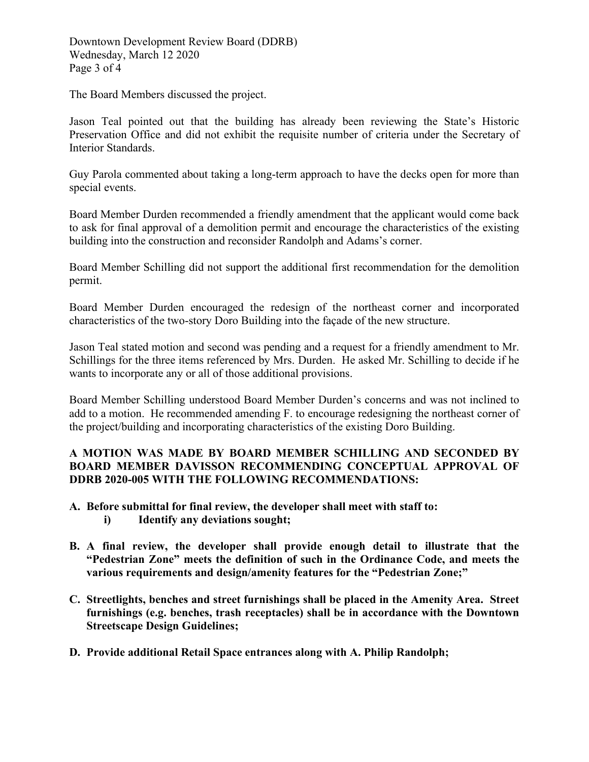Downtown Development Review Board (DDRB) Wednesday, March 12 2020 Page 3 of 4

The Board Members discussed the project.

Jason Teal pointed out that the building has already been reviewing the State's Historic Preservation Office and did not exhibit the requisite number of criteria under the Secretary of Interior Standards.

Guy Parola commented about taking a long-term approach to have the decks open for more than special events.

Board Member Durden recommended a friendly amendment that the applicant would come back to ask for final approval of a demolition permit and encourage the characteristics of the existing building into the construction and reconsider Randolph and Adams's corner.

Board Member Schilling did not support the additional first recommendation for the demolition permit.

Board Member Durden encouraged the redesign of the northeast corner and incorporated characteristics of the two-story Doro Building into the façade of the new structure.

Jason Teal stated motion and second was pending and a request for a friendly amendment to Mr. Schillings for the three items referenced by Mrs. Durden. He asked Mr. Schilling to decide if he wants to incorporate any or all of those additional provisions.

Board Member Schilling understood Board Member Durden's concerns and was not inclined to add to a motion. He recommended amending F. to encourage redesigning the northeast corner of the project/building and incorporating characteristics of the existing Doro Building.

## **A MOTION WAS MADE BY BOARD MEMBER SCHILLING AND SECONDED BY BOARD MEMBER DAVISSON RECOMMENDING CONCEPTUAL APPROVAL OF DDRB 2020-005 WITH THE FOLLOWING RECOMMENDATIONS:**

- **A. Before submittal for final review, the developer shall meet with staff to: i) Identify any deviations sought;**
- **B. A final review, the developer shall provide enough detail to illustrate that the "Pedestrian Zone" meets the definition of such in the Ordinance Code, and meets the various requirements and design/amenity features for the "Pedestrian Zone;"**
- **C. Streetlights, benches and street furnishings shall be placed in the Amenity Area. Street furnishings (e.g. benches, trash receptacles) shall be in accordance with the Downtown Streetscape Design Guidelines;**
- **D. Provide additional Retail Space entrances along with A. Philip Randolph;**